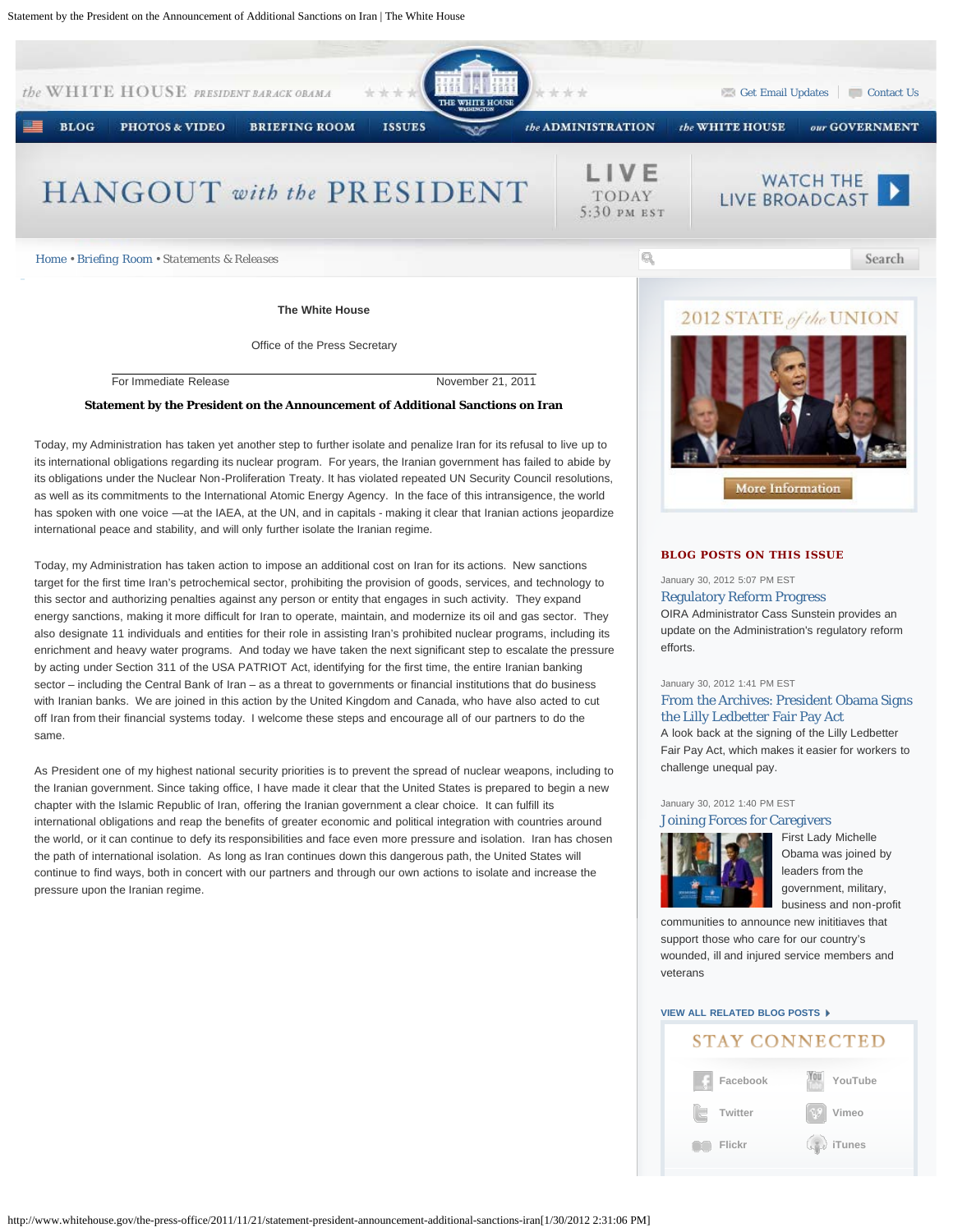

January 30, 2012 1:41 PM EST

## [From the Archives: President Obama Signs](http://www.whitehouse.gov/blog/2012/01/30/archives-president-obama-signs-lilly-ledbetter-fair-pay-act) [the Lilly Ledbetter Fair Pay Act](http://www.whitehouse.gov/blog/2012/01/30/archives-president-obama-signs-lilly-ledbetter-fair-pay-act)

A look back at the signing of the Lilly Ledbetter Fair Pay Act, which makes it easier for workers to challenge unequal pay.

### January 30, 2012 1:40 PM EST

#### [Joining Forces for Caregivers](http://www.whitehouse.gov/blog/2012/01/30/joining-forces-caregivers)



[F](http://www.whitehouse.gov/blog/2012/01/30/joining-forces-caregivers)irst Lady Michelle Obama was joined by leaders from the government, military, business and non-profit

communities to announce new inititiaves that support those who care for our country's wounded, ill and injured service members and veterans

## **[VIEW ALL RELATED BLOG POSTS](http://www.whitehouse.gov/blog/issues/white-house)**

# **STAY CONNECTED**



by acting under Section 311 of the USA PATRIOT Act, identifying for the first time, the entire Iranian banking sector – including the Central Bank of Iran – as a threat to governments or financial institutions that do business with Iranian banks. We are joined in this action by the United Kingdom and Canada, who have also acted to cut off Iran from their financial systems today. I welcome these steps and encourage all of our partners to do the same.

As President one of my highest national security priorities is to prevent the spread of nuclear weapons, including to the Iranian government. Since taking office, I have made it clear that the United States is prepared to begin a new chapter with the Islamic Republic of Iran, offering the Iranian government a clear choice. It can fulfill its international obligations and reap the benefits of greater economic and political integration with countries around the world, or it can continue to defy its responsibilities and face even more pressure and isolation. Iran has chosen the path of international isolation. As long as Iran continues down this dangerous path, the United States will continue to find ways, both in concert with our partners and through our own actions to isolate and increase the pressure upon the Iranian regime.